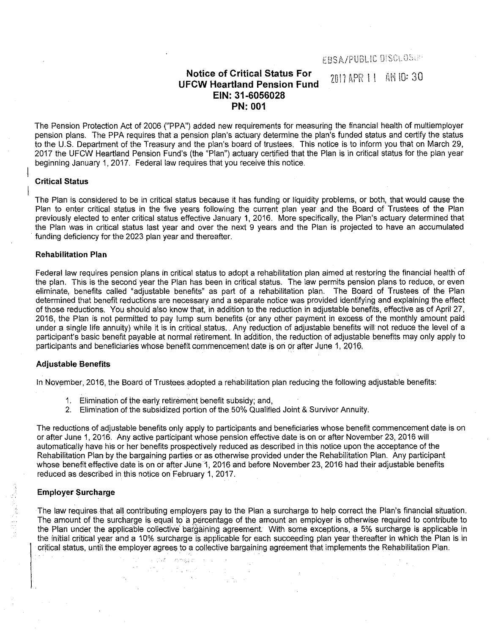# **Notice of Critical Status For UFCW Heartland Pension Fund EIN: 31-6056028 PN: 001**

2011 APR 11 AM 10: 30

The Pension Protection Act of 2006 ("PPA") added new requirements for measuring the financial health of multiemployer pension plans. The PPA requires that a pension plan's actuary determine the plan's funded status and certify the status to the U.S. Department of the Treasury and the plan's board of trustees. This notice is to inform you that on March 29, 2017 the UFCW Heartland Pension Fund's (the "Plan") actuary certified that the Plan is in critical status for the plan year beginning January 1, 2017. Federal law requires that you receive this notice.

### **Critical Status**

The Plan is considered to be in critical status because it has funding or liquidity problems, or both, that would cause the Plan to enter critical status in the five years following the current plan year and the Board of Trustees of the Plan previously elected to enter critical status effective January 1, 2016. More specifically, the Plan's actuary determined that the Plan was in critical status last year and over the next 9 years and the Plan is projected to have an accumulated funding deficiency for the 2023 plan year and thereafter.

#### **Rehabilitation Plan**

Federal law requires pension plans in critical status to adopt a rehabilitation plan aimed at restoring the financial health of the plan. This is the second year the Plan has been in critical status. The law permits pension plans to reduce, or even eliminate, benefits called "adjustable benefits" as part of a rehabilitation plan. The Board of Trustees of the Plan determined that benefit reductions are necessary and a separate notice was provided identifying and explaining the effect of those reductions. You should also know that, in addition to the reduction in adjustable benefits, effective as of April 27, 2016, the Plan is not permitted to pay lump sum benefits (or any other payment in excess of the monthly amount paid under a single life annuity) while it is in critical status. Any reduction of adjustable benefits will not reduce the level of a participant's basic benefit payable at normal retirement. In addition, the reduction of adjustable benefits may only apply to participants and beneficiaries whose benefit commencement date is on or after June 1, 2016.

#### **Adjustable Benefits**

In November, 2016, the Board of Trustees adopted a rehabilitation plan reducing the following adjustable benefits:

1. Elimination of the early retirement benefit subsidy; and,

is mar i mendastri and the property

 $\sim$   $\sim$ 

2. Elimination of the subsidized portion of the 50% Qualified Joint & Survivor Annuity.

The reductions of adjustable benefits only apply to participants and beneficiaries whose benefit commencement date is on or after June 1, 2016. Any active participant whose pension effective date is on or after November 23, 2016 will automatically have his or her benefits prospectively reduced as described in this notice upon the acceptance of the Rehabilitation Plan by the bargaining parties or as otherwise provided under the Rehabilitation Plan. Any participant whose benefit effective date is on or after June 1, 2016 and before November 23, 2016 had their adjustable benefits reduced as described in this notice on February 1, 2017.

## **Employer Surcharge**

The law requires that all contributing employers pay to the Plan a surcharge to help correct the Plan's financial situation. The amount of the surcharge is equal to a percentage of the amount an employer is otherwise required to contribute to the Plan under the applicable collective bargaining agreement. With some exceptions, a 5% surcharge is applicable in the initial critical year and a 10% surcharge is applicable for each succeeding plan year thereafter in which the Plan is in critical status, until the employer agrees to a collective bargaining agreement that implements the Rehabilitation Plan.